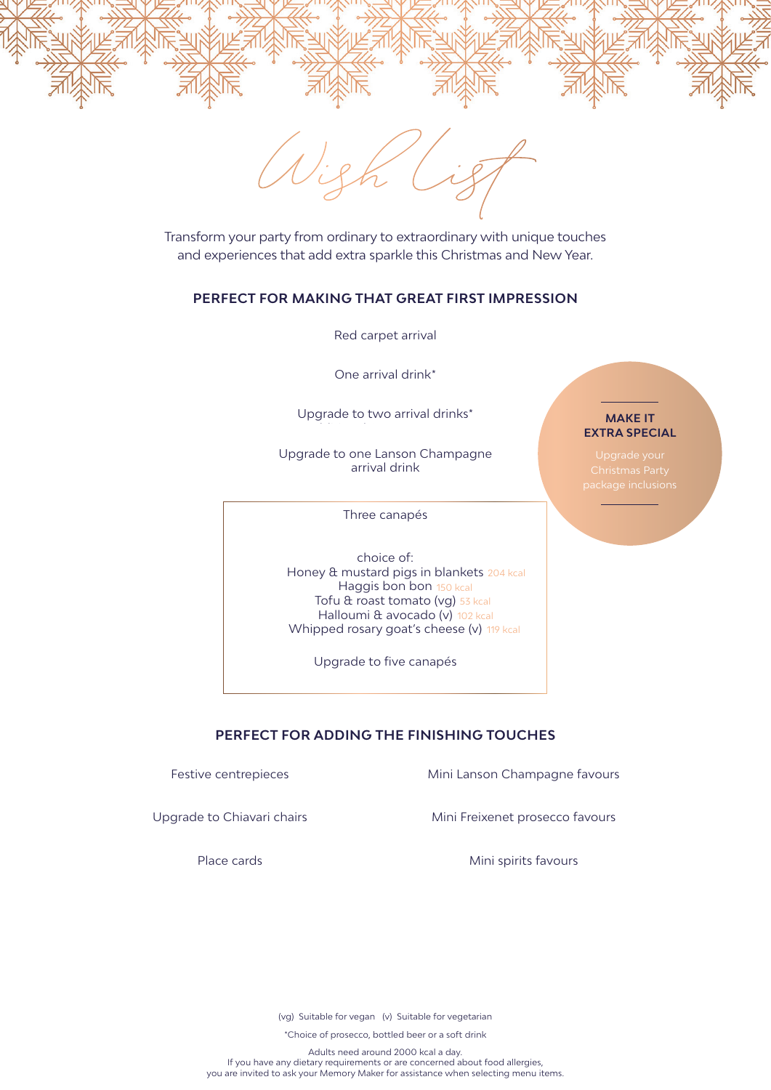

Wish List

Transform your party from ordinary to extraordinary with unique touches and experiences that add extra sparkle this Christmas and New Year.

## **PERFECT FOR MAKING THAT GREAT FIRST IMPRESSION**

Red carpet arrival

One arrival drink\*

Upgrade to two arrival drinks\*

Upgrade to one Lanson Champagne arrival drink

Three canapés

choice of: Honey & mustard pigs in blankets 204 kcal Haggis bon bon 150 kcal Tofu & roast tomato (vg) 53 kcal Halloumi & avocado (v) 102 kcal Whipped rosary goat's cheese (v) 119 kcal

Upgrade to five canapés

## **MAKE IT EXTRA SPECIAL**

## **PERFECT FOR ADDING THE FINISHING TOUCHES**

Festive centrepieces **Mini Lanson Champagne favours** 

Upgrade to Chiavari chairs Mini Freixenet prosecco favours

Place cards **Mini spirits favours** Mini spirits favours

(vg) Suitable for vegan (v) Suitable for vegetarian

\*Choice of prosecco, bottled beer or a soft drink

Adults need around 2000 kcal a day. If you have any dietary requirements or are concerned about food allergies, you are invited to ask your Memory Maker for assistance when selecting menu items.